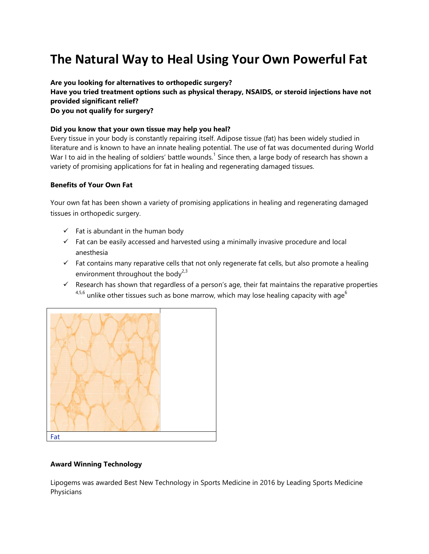# **The Natural Way to Heal Using Your Own Powerful Fat**

**Are you looking for alternatives to orthopedic surgery? Have you tried treatment options such as physical therapy, NSAIDS, or steroid injections have not provided significant relief? Do you not qualify for surgery?** 

## **Did you know that your own tissue may help you heal?**

Every tissue in your body is constantly repairing itself. Adipose tissue (fat) has been widely studied in literature and is known to have an innate healing potential. The use of fat was documented during World War I to aid in the healing of soldiers' battle wounds.<sup>1</sup> Since then, a large body of research has shown a variety of promising applications for fat in healing and regenerating damaged tissues.

#### **Benefits of Your Own Fat**

Your own fat has been shown a variety of promising applications in healing and regenerating damaged tissues in orthopedic surgery.

- $\checkmark$  Fat is abundant in the human body
- $\checkmark$  Fat can be easily accessed and harvested using a minimally invasive procedure and local anesthesia
- $\checkmark$  Fat contains many reparative cells that not only regenerate fat cells, but also promote a healing environment throughout the body<sup>2,3</sup>
- $\checkmark$  Research has shown that regardless of a person's age, their fat maintains the reparative properties  $4,5,6$  unlike other tissues such as bone marrow, which may lose healing capacity with age<sup>6</sup>



#### **Award Winning Technology**

Lipogems was awarded Best New Technology in Sports Medicine in 2016 by Leading Sports Medicine Physicians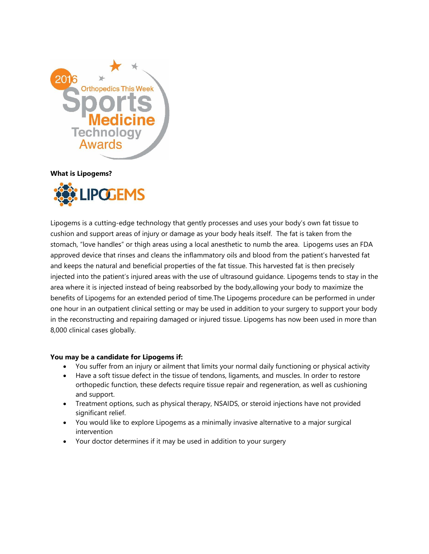

**What is Lipogems?**



Lipogems is a cutting-edge technology that gently processes and uses your body's own fat tissue to cushion and support areas of injury or damage as your body heals itself. The fat is taken from the stomach, "love handles" or thigh areas using a local anesthetic to numb the area. Lipogems uses an FDA approved device that rinses and cleans the inflammatory oils and blood from the patient's harvested fat and keeps the natural and beneficial properties of the fat tissue. This harvested fat is then precisely injected into the patient's injured areas with the use of ultrasound guidance. Lipogems tends to stay in the area where it is injected instead of being reabsorbed by the body,allowing your body to maximize the benefits of Lipogems for an extended period of time.The Lipogems procedure can be performed in under one hour in an outpatient clinical setting or may be used in addition to your surgery to support your body in the reconstructing and repairing damaged or injured tissue. Lipogems has now been used in more than 8,000 clinical cases globally.

## **You may be a candidate for Lipogems if:**

- You suffer from an injury or ailment that limits your normal daily functioning or physical activity
- Have a soft tissue defect in the tissue of tendons, ligaments, and muscles. In order to restore orthopedic function, these defects require tissue repair and regeneration, as well as cushioning and support.
- Treatment options, such as physical therapy, NSAIDS, or steroid injections have not provided significant relief.
- You would like to explore Lipogems as a minimally invasive alternative to a major surgical intervention
- Your doctor determines if it may be used in addition to your surgery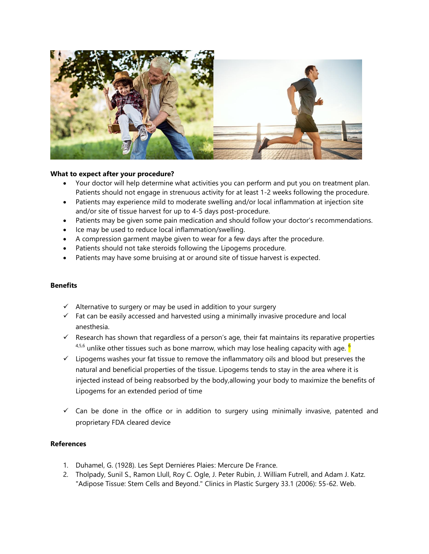

## **What to expect after your procedure?**

- Your doctor will help determine what activities you can perform and put you on treatment plan. Patients should not engage in strenuous activity for at least 1-2 weeks following the procedure.
- Patients may experience mild to moderate swelling and/or local inflammation at injection site and/or site of tissue harvest for up to 4-5 days post-procedure.
- Patients may be given some pain medication and should follow your doctor's recommendations.
- Ice may be used to reduce local inflammation/swelling.
- A compression garment maybe given to wear for a few days after the procedure.
- Patients should not take steroids following the Lipogems procedure.
- Patients may have some bruising at or around site of tissue harvest is expected.

#### **Benefits**

- $\checkmark$  Alternative to surgery or may be used in addition to your surgery
- $\checkmark$  Fat can be easily accessed and harvested using a minimally invasive procedure and local anesthesia.
- $\checkmark$  Research has shown that regardless of a person's age, their fat maintains its reparative properties  $4,5,6$  unlike other tissues such as bone marrow, which may lose healing capacity with age.  $\frac{6}{ }$
- $\checkmark$  Lipogems washes your fat tissue to remove the inflammatory oils and blood but preserves the natural and beneficial properties of the tissue. Lipogems tends to stay in the area where it is injected instead of being reabsorbed by the body,allowing your body to maximize the benefits of Lipogems for an extended period of time
- $\checkmark$  Can be done in the office or in addition to surgery using minimally invasive, patented and proprietary FDA cleared device

## **References**

- 1. Duhamel, G. (1928). Les Sept Dernières Plaies: Mercure De France.
- 2. Tholpady, Sunil S., Ramon Llull, Roy C. Ogle, J. Peter Rubin, J. William Futrell, and Adam J. Katz. "Adipose Tissue: Stem Cells and Beyond." Clinics in Plastic Surgery 33.1 (2006): 55-62. Web.